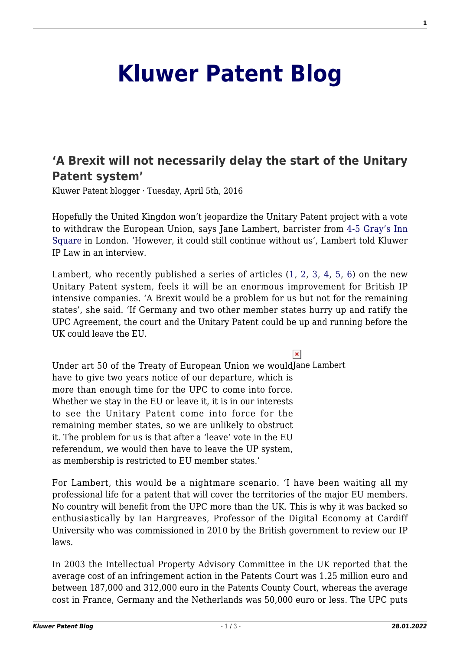## **[Kluwer Patent Blog](http://patentblog.kluweriplaw.com/)**

## **['A Brexit will not necessarily delay the start of the Unitary](http://patentblog.kluweriplaw.com/2016/04/05/a-brexit-will-not-necessarily-delay-the-start-of-the-unitary-patent-system/) [Patent system'](http://patentblog.kluweriplaw.com/2016/04/05/a-brexit-will-not-necessarily-delay-the-start-of-the-unitary-patent-system/)**

Kluwer Patent blogger · Tuesday, April 5th, 2016

Hopefully the United Kingdon won't jeopardize the Unitary Patent project with a vote to withdraw the European Union, says Jane Lambert, barrister from [4-5 Gray's Inn](http://4-5graysinnsquare.co.uk/barristers/jane-lambert/) [Square](http://4-5graysinnsquare.co.uk/barristers/jane-lambert/) in London. 'However, it could still continue without us', Lambert told Kluwer IP Law in an interview.

Lambert, who recently published a series of articles [\(1](http://nipclaw.blogspot.nl/2016/03/the-draft-patents-european-patent-with.html), [2](http://nipclaw.blogspot.nl/2016/03/upc-mediation-rules.html), [3](http://nipclaw.blogspot.nl/2016/02/were-we-to-go-what-would-brexit-mean.html), [4](http://nipclaw.blogspot.nl/2016/02/implementing-unitary-patent-in-uk.html), [5](http://nipclaw.blogspot.nl/2016/02/unitary-patent-upcs-power-to-amend.html), [6](http://nipclaw.blogspot.nl/2016/01/preparing-for-unified-patent-court.html)) on the new Unitary Patent system, feels it will be an enormous improvement for British IP intensive companies. 'A Brexit would be a problem for us but not for the remaining states', she said. 'If Germany and two other member states hurry up and ratify the UPC Agreement, the court and the Unitary Patent could be up and running before the UK could leave the EU.

 $\pmb{\times}$ Under art 50 of the Treaty of European Union we wouldJane Lambert have to give two years notice of our departure, which is more than enough time for the UPC to come into force. Whether we stay in the EU or leave it, it is in our interests to see the Unitary Patent come into force for the remaining member states, so we are unlikely to obstruct it. The problem for us is that after a 'leave' vote in the EU referendum, we would then have to leave the UP system, as membership is restricted to EU member states.'

For Lambert, this would be a nightmare scenario. 'I have been waiting all my professional life for a patent that will cover the territories of the major EU members. No country will benefit from the UPC more than the UK. This is why it was backed so enthusiastically by Ian Hargreaves, Professor of the Digital Economy at Cardiff University who was commissioned in 2010 by the British government to review our IP laws.

In 2003 the Intellectual Property Advisory Committee in the UK reported that the average cost of an infringement action in the Patents Court was 1.25 million euro and between 187,000 and 312,000 euro in the Patents County Court, whereas the average cost in France, Germany and the Netherlands was 50,000 euro or less. The UPC puts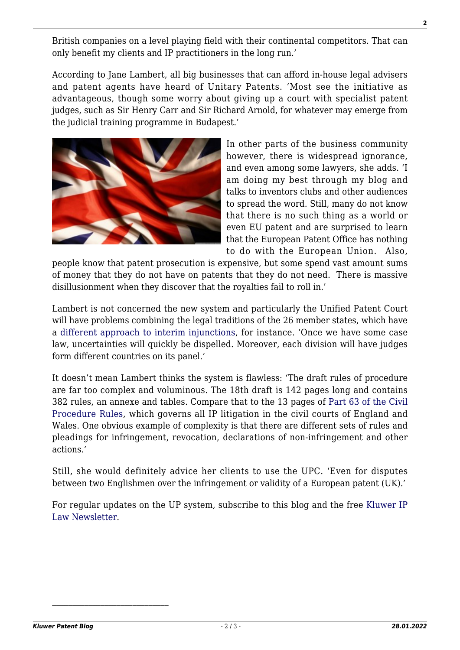**2**

British companies on a level playing field with their continental competitors. That can only benefit my clients and IP practitioners in the long run.'

According to Jane Lambert, all big businesses that can afford in-house legal advisers and patent agents have heard of Unitary Patents. 'Most see the initiative as advantageous, though some worry about giving up a court with specialist patent judges, such as Sir Henry Carr and Sir Richard Arnold, for whatever may emerge from the judicial training programme in Budapest.'



In other parts of the business community however, there is widespread ignorance, and even among some lawyers, she adds. 'I am doing my best through my blog and talks to inventors clubs and other audiences to spread the word. Still, many do not know that there is no such thing as a world or even EU patent and are surprised to learn that the European Patent Office has nothing to do with the European Union. Also,

people know that patent prosecution is expensive, but some spend vast amount sums of money that they do not have on patents that they do not need. There is massive disillusionment when they discover that the royalties fail to roll in.'

Lambert is not concerned the new system and particularly the Unified Patent Court will have problems combining the legal traditions of the 26 member states, which have a [different approach to interim injunctions,](http://www.out-law.com/en/articles/2016/february/the-unified-patent-courts-approach-to-interim-injunctions-will-influence-businesses-patent-strategies-in-europe-say-experts/) for instance. 'Once we have some case law, uncertainties will quickly be dispelled. Moreover, each division will have judges form different countries on its panel.'

It doesn't mean Lambert thinks the system is flawless: 'The draft rules of procedure are far too complex and voluminous. The 18th draft is 142 pages long and contains 382 rules, an annexe and tables. Compare that to the 13 pages of [Part 63 of the Civil](http://www.justice.gov.uk/courts/procedure-rules/civil/rules#part61) [Procedure Rules](http://www.justice.gov.uk/courts/procedure-rules/civil/rules#part61), which governs all IP litigation in the civil courts of England and Wales. One obvious example of complexity is that there are different sets of rules and pleadings for infringement, revocation, declarations of non-infringement and other actions.'

Still, she would definitely advice her clients to use the UPC. 'Even for disputes between two Englishmen over the infringement or validity of a European patent (UK).'

For regular updates on the UP system, subscribe to this blog and the free [Kluwer IP](http://genons.kluwerlawonline.com/public/subscription/KIPL/subscribe/) [Law Newsletter](http://genons.kluwerlawonline.com/public/subscription/KIPL/subscribe/).